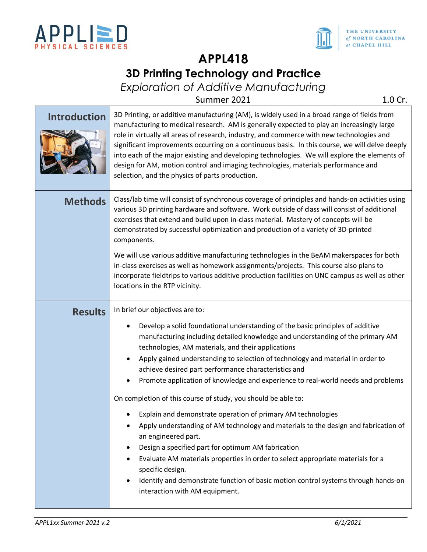

 $\sim$ 



# **APPL418 3D Printing Technology and Practice**

*Exploration of Additive Manufacturing*

Summer 2021 1.0 Cr.

| <b>Introduction</b> | 3D Printing, or additive manufacturing (AM), is widely used in a broad range of fields from<br>manufacturing to medical research. AM is generally expected to play an increasingly large<br>role in virtually all areas of research, industry, and commerce with new technologies and<br>significant improvements occurring on a continuous basis. In this course, we will delve deeply<br>into each of the major existing and developing technologies. We will explore the elements of<br>design for AM, motion control and imaging technologies, materials performance and<br>selection, and the physics of parts production. |
|---------------------|---------------------------------------------------------------------------------------------------------------------------------------------------------------------------------------------------------------------------------------------------------------------------------------------------------------------------------------------------------------------------------------------------------------------------------------------------------------------------------------------------------------------------------------------------------------------------------------------------------------------------------|
| <b>Methods</b>      | Class/lab time will consist of synchronous coverage of principles and hands-on activities using<br>various 3D printing hardware and software. Work outside of class will consist of additional<br>overcises that outand and build upon in class material. Mastery of consents will be                                                                                                                                                                                                                                                                                                                                           |

|                | role in virtually all areas of research, industry, and commerce with new technologies and<br>significant improvements occurring on a continuous basis. In this course, we will delve deeply<br>into each of the major existing and developing technologies. We will explore the elements of<br>design for AM, motion control and imaging technologies, materials performance and<br>selection, and the physics of parts production. |  |  |
|----------------|-------------------------------------------------------------------------------------------------------------------------------------------------------------------------------------------------------------------------------------------------------------------------------------------------------------------------------------------------------------------------------------------------------------------------------------|--|--|
| <b>Methods</b> | Class/lab time will consist of synchronous coverage of principles and hands-on activities using<br>various 3D printing hardware and software. Work outside of class will consist of additional<br>exercises that extend and build upon in-class material. Mastery of concepts will be<br>demonstrated by successful optimization and production of a variety of 3D-printed<br>components.                                           |  |  |
|                | We will use various additive manufacturing technologies in the BeAM makerspaces for both<br>in-class exercises as well as homework assignments/projects. This course also plans to<br>incorporate fieldtrips to various additive production facilities on UNC campus as well as other<br>locations in the RTP vicinity.                                                                                                             |  |  |
| <b>Results</b> | In brief our objectives are to:                                                                                                                                                                                                                                                                                                                                                                                                     |  |  |
|                | Develop a solid foundational understanding of the basic principles of additive<br>manufacturing including detailed knowledge and understanding of the primary AM<br>technologies, AM materials, and their applications<br>Apply gained understanding to selection of technology and material in order to<br>achieve desired part performance characteristics and                                                                    |  |  |
|                | Promote application of knowledge and experience to real-world needs and problems                                                                                                                                                                                                                                                                                                                                                    |  |  |
|                | On completion of this course of study, you should be able to:                                                                                                                                                                                                                                                                                                                                                                       |  |  |
|                | Explain and demonstrate operation of primary AM technologies                                                                                                                                                                                                                                                                                                                                                                        |  |  |
|                | Apply understanding of AM technology and materials to the design and fabrication of<br>an engineered part.                                                                                                                                                                                                                                                                                                                          |  |  |
|                | Design a specified part for optimum AM fabrication                                                                                                                                                                                                                                                                                                                                                                                  |  |  |
|                | Evaluate AM materials properties in order to select appropriate materials for a<br>specific design.                                                                                                                                                                                                                                                                                                                                 |  |  |
|                | Identify and demonstrate function of basic motion control systems through hands-on                                                                                                                                                                                                                                                                                                                                                  |  |  |

interaction with AM equipment.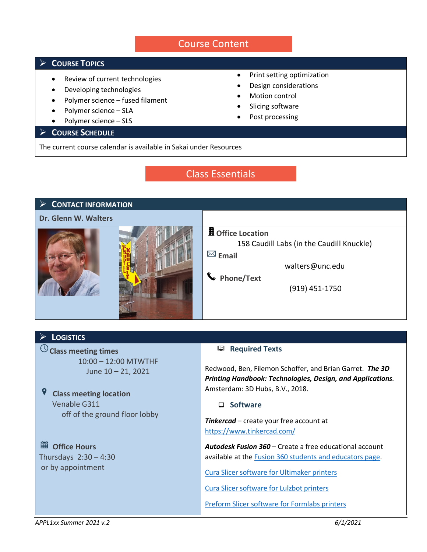# Course Content

# **COURSE TOPICS**

- Review of current technologies
- Developing technologies
- Polymer science fused filament
- Polymer science SLA
- Polymer science SLS

## **COURSE SCHEDULE**

- Print setting optimization
- Design considerations
- Motion control
- Slicing software
- Post processing

The current course calendar is available in Sakai under Resources

# Class Essentials



### **LOGISTICS**

**Class meeting times** 10:00 – 12:00 MTWTHF June 10 – 21, 2021

9  **Class meeting location** Venable G311 off of the ground floor lobby

 **Office Hours** Thursdays 2:30 – 4:30 or by appointment

### **E** Required Texts

Redwood, Ben, Filemon Schoffer, and Brian Garret. *The 3D Printing Handbook: Technologies, Design, and Applications.* Amsterdam: 3D Hubs, B.V., 2018.

**Software**

*Tinkercad* – create your free account at <https://www.tinkercad.com/>

*Autodesk Fusion 360* – Create a free educational account available at the [Fusion 360 students and educators page.](https://www.autodesk.com/products/fusion-360/students-teachers-educators?_ga=2.248438855.1908321390.1578500507-2123785128.1578500507)

[Cura Slicer software for Ultimaker](https://ultimaker.com/software/ultimaker-cura) printers

[Cura Slicer software for Lulzbot](https://www.lulzbot.com/Cura) printers

[Preform Slicer software for Formlabs printers](https://formlabs.com/software/#preform)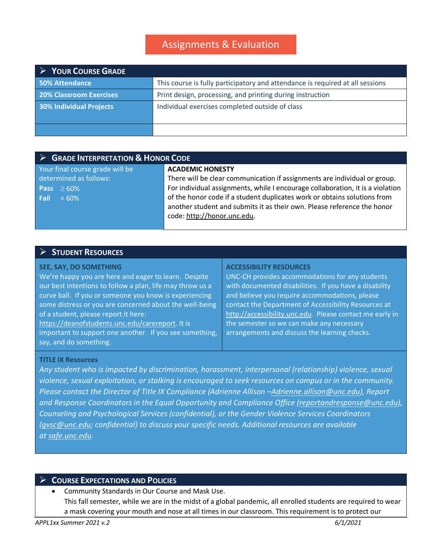# Assignments & Evaluation

| $\triangleright$ YOUR COURSE GRADE |                                                                               |  |  |
|------------------------------------|-------------------------------------------------------------------------------|--|--|
| <b>50% Attendance</b>              | This course is fully participatory and attendance is required at all sessions |  |  |
| <b>20% Classroom Exercises</b>     | Print design, processing, and printing during instruction                     |  |  |
| <b>30% Individual Projects</b>     | Individual exercises completed outside of class                               |  |  |
|                                    |                                                                               |  |  |
|                                    |                                                                               |  |  |

| $\triangleright$ GRADE INTERPRETATION & HONOR CODE |                                                                                |  |  |
|----------------------------------------------------|--------------------------------------------------------------------------------|--|--|
| Your final course grade will be                    | <b>ACADEMIC HONESTY</b>                                                        |  |  |
| determined as follows:                             | There will be clear communication if assignments are individual or group.      |  |  |
| $Re$ Pass $\geq 60\%$                              | For individual assignments, while I encourage collaboration, it is a violation |  |  |
| Fail<br>$< 60\%$                                   | of the honor code if a student duplicates work or obtains solutions from       |  |  |
|                                                    | another student and submits it as their own. Please reference the honor        |  |  |
|                                                    | code: http://honor.unc.edu.                                                    |  |  |
|                                                    |                                                                                |  |  |

### **STUDENT RESOURCES**

#### **SEE, SAY, DO SOMETHING**

We're happy you are here and eager to learn. Despite our best intentions to follow a plan, life may throw us a curve ball. If you or someone you know is experiencing some distress or you are concerned about the well-being of a student, please report it here: [https://deanofstudents.unc.edu/carereport.](https://deanofstudents.unc.edu/carereport) It is

important to support one another. If you see something, say, and do something.

#### **ACCESSIBILITY RESOURCES**

UNC-CH provides accommodations for any students with documented disabilities. If you have a disability and believe you require accommodations, please contact the Department of Accessibility Resources at [http://accessibility.unc.edu.](http://accessibility.unc.edu/) Please contact me early in the semester so we can make any necessary arrangements and discuss the learning checks.

### **TITLE IX Resources**

*Any student who is impacted by discrimination, harassment, interpersonal (relationship) violence, sexual violence, sexual exploitation, or stalking is encouraged to seek resources on campus or in the community. Please contact the Director of Title IX Compliance (Adrienne Allison [–Adrienne.allison@unc.edu\)](mailto:Adrienne.allison@unc.edu), Report and Response Coordinators in the Equal Opportunity and Compliance Office [\(reportandresponse@unc.edu\)](mailto:reportandresponse@unc.edu), Counseling and Psychological Services (confidential), or the Gender Violence Services Coordinators [\(gvsc@unc.edu;](mailto:gvsc@unc.edu) confidential) to discuss your specific needs. Additional resources are available at [safe.unc.edu.](http://safe.unc.edu/)*

## **COURSE EXPECTATIONS AND POLICIES**

• Community Standards in Our Course and Mask Use. This fall semester, while we are in the midst of a global pandemic, all enrolled students are required to wear a mask covering your mouth and nose at all times in our classroom. This requirement is to protect our